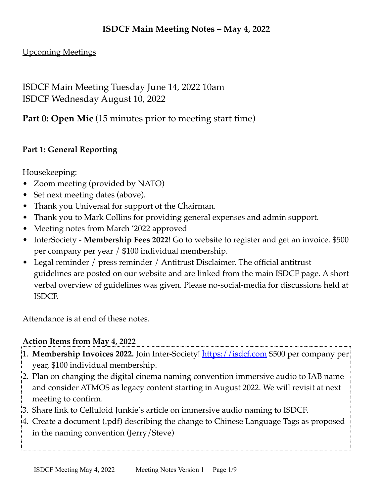#### **ISDCF Main Meeting Notes – May 4, 2022**

#### Upcoming Meetings

ISDCF Main Meeting Tuesday June 14, 2022 10am ISDCF Wednesday August 10, 2022

**Part 0: Open Mic** (15 minutes prior to meeting start time)

#### **Part 1: General Reporting**

Housekeeping:

- Zoom meeting (provided by NATO)
- Set next meeting dates (above).
- Thank you Universal for support of the Chairman.
- Thank you to Mark Collins for providing general expenses and admin support.
- Meeting notes from March '2022 approved
- InterSociety **Membership Fees 2022**! Go to website to register and get an invoice. \$500 per company per year / \$100 individual membership.
- Legal reminder / press reminder / Antitrust Disclaimer. The official antitrust guidelines are posted on our website and are linked from the main ISDCF page. A short verbal overview of guidelines was given. Please no-social-media for discussions held at ISDCF.

Attendance is at end of these notes.

#### **Action Items from May 4, 2022**

- 1. **Membership Invoices 2022.** Join Inter-Society! <https://isdcf.com>\$500 per company per year, \$100 individual membership.
- 2. Plan on changing the digital cinema naming convention immersive audio to IAB name and consider ATMOS as legacy content starting in August 2022. We will revisit at next meeting to confirm.
- 3. Share link to Celluloid Junkie's article on immersive audio naming to ISDCF.
- 4. Create a document (.pdf) describing the change to Chinese Language Tags as proposed in the naming convention (Jerry/Steve)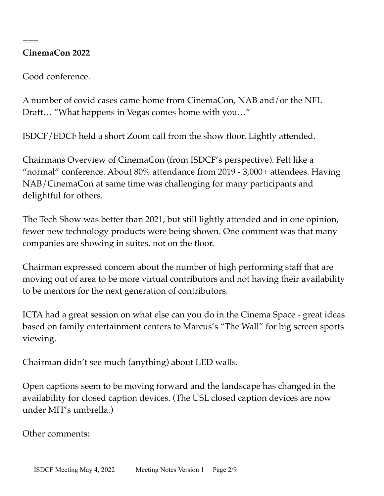#### **CinemaCon 2022**

===

Good conference.

A number of covid cases came home from CinemaCon, NAB and/or the NFL Draft… "What happens in Vegas comes home with you…"

ISDCF/EDCF held a short Zoom call from the show floor. Lightly attended.

Chairmans Overview of CinemaCon (from ISDCF's perspective). Felt like a "normal" conference. About 80% attendance from 2019 - 3,000+ attendees. Having NAB/CinemaCon at same time was challenging for many participants and delightful for others.

The Tech Show was better than 2021, but still lightly attended and in one opinion, fewer new technology products were being shown. One comment was that many companies are showing in suites, not on the floor.

Chairman expressed concern about the number of high performing staff that are moving out of area to be more virtual contributors and not having their availability to be mentors for the next generation of contributors.

ICTA had a great session on what else can you do in the Cinema Space - great ideas based on family entertainment centers to Marcus's "The Wall" for big screen sports viewing.

Chairman didn't see much (anything) about LED walls.

Open captions seem to be moving forward and the landscape has changed in the availability for closed caption devices. (The USL closed caption devices are now under MIT's umbrella.)

Other comments: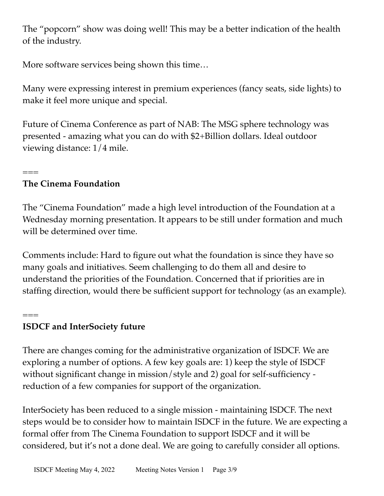The "popcorn" show was doing well! This may be a better indication of the health of the industry.

More software services being shown this time…

Many were expressing interest in premium experiences (fancy seats, side lights) to make it feel more unique and special.

Future of Cinema Conference as part of NAB: The MSG sphere technology was presented - amazing what you can do with \$2+Billion dollars. Ideal outdoor viewing distance: 1/4 mile.

#### === **The Cinema Foundation**

The "Cinema Foundation" made a high level introduction of the Foundation at a Wednesday morning presentation. It appears to be still under formation and much will be determined over time.

Comments include: Hard to figure out what the foundation is since they have so many goals and initiatives. Seem challenging to do them all and desire to understand the priorities of the Foundation. Concerned that if priorities are in staffing direction, would there be sufficient support for technology (as an example).

===

### **ISDCF and InterSociety future**

There are changes coming for the administrative organization of ISDCF. We are exploring a number of options. A few key goals are: 1) keep the style of ISDCF without significant change in mission/style and 2) goal for self-sufficiency reduction of a few companies for support of the organization.

InterSociety has been reduced to a single mission - maintaining ISDCF. The next steps would be to consider how to maintain ISDCF in the future. We are expecting a formal offer from The Cinema Foundation to support ISDCF and it will be considered, but it's not a done deal. We are going to carefully consider all options.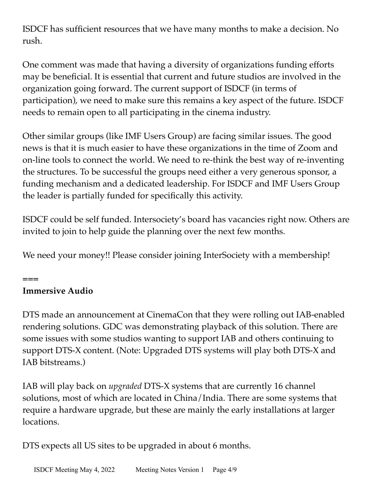ISDCF has sufficient resources that we have many months to make a decision. No rush.

One comment was made that having a diversity of organizations funding efforts may be beneficial. It is essential that current and future studios are involved in the organization going forward. The current support of ISDCF (in terms of participation), we need to make sure this remains a key aspect of the future. ISDCF needs to remain open to all participating in the cinema industry.

Other similar groups (like IMF Users Group) are facing similar issues. The good news is that it is much easier to have these organizations in the time of Zoom and on-line tools to connect the world. We need to re-think the best way of re-inventing the structures. To be successful the groups need either a very generous sponsor, a funding mechanism and a dedicated leadership. For ISDCF and IMF Users Group the leader is partially funded for specifically this activity.

ISDCF could be self funded. Intersociety's board has vacancies right now. Others are invited to join to help guide the planning over the next few months.

We need your money!! Please consider joining InterSociety with a membership!

## **Immersive Audio**

**===**

DTS made an announcement at CinemaCon that they were rolling out IAB-enabled rendering solutions. GDC was demonstrating playback of this solution. There are some issues with some studios wanting to support IAB and others continuing to support DTS-X content. (Note: Upgraded DTS systems will play both DTS-X and IAB bitstreams.)

IAB will play back on *upgraded* DTS-X systems that are currently 16 channel solutions, most of which are located in China/India. There are some systems that require a hardware upgrade, but these are mainly the early installations at larger locations.

DTS expects all US sites to be upgraded in about 6 months.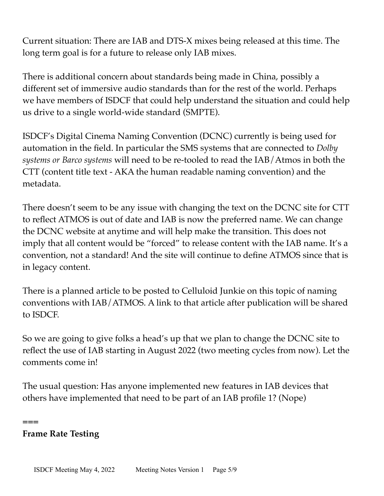Current situation: There are IAB and DTS-X mixes being released at this time. The long term goal is for a future to release only IAB mixes.

There is additional concern about standards being made in China, possibly a different set of immersive audio standards than for the rest of the world. Perhaps we have members of ISDCF that could help understand the situation and could help us drive to a single world-wide standard (SMPTE).

ISDCF's Digital Cinema Naming Convention (DCNC) currently is being used for automation in the field. In particular the SMS systems that are connected to *Dolby systems or Barco systems* will need to be re-tooled to read the IAB/Atmos in both the CTT (content title text - AKA the human readable naming convention) and the metadata.

There doesn't seem to be any issue with changing the text on the DCNC site for CTT to reflect ATMOS is out of date and IAB is now the preferred name. We can change the DCNC website at anytime and will help make the transition. This does not imply that all content would be "forced" to release content with the IAB name. It's a convention, not a standard! And the site will continue to define ATMOS since that is in legacy content.

There is a planned article to be posted to Celluloid Junkie on this topic of naming conventions with IAB/ATMOS. A link to that article after publication will be shared to ISDCF.

So we are going to give folks a head's up that we plan to change the DCNC site to reflect the use of IAB starting in August 2022 (two meeting cycles from now). Let the comments come in!

The usual question: Has anyone implemented new features in IAB devices that others have implemented that need to be part of an IAB profile 1? (Nope)

#### **Frame Rate Testing**

**===**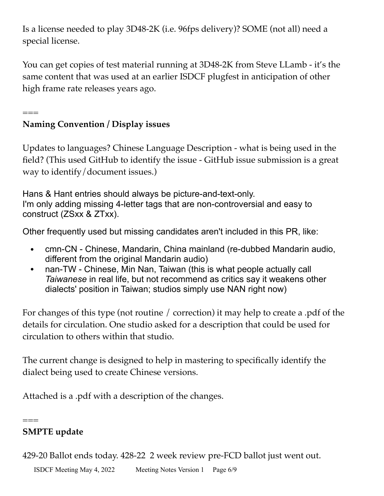Is a license needed to play 3D48-2K (i.e. 96fps delivery)? SOME (not all) need a special license.

You can get copies of test material running at 3D48-2K from Steve LLamb - it's the same content that was used at an earlier ISDCF plugfest in anticipation of other high frame rate releases years ago.

## **Naming Convention / Display issues**

===

Updates to languages? Chinese Language Description - what is being used in the field? (This used GitHub to identify the issue - GitHub issue submission is a great way to identify/document issues.)

Hans & Hant entries should always be picture-and-text-only. I'm only adding missing 4-letter tags that are non-controversial and easy to construct (ZSxx & ZTxx).

Other frequently used but missing candidates aren't included in this PR, like:

- cmn-CN Chinese, Mandarin, China mainland (re-dubbed Mandarin audio, different from the original Mandarin audio)
- nan-TW Chinese, Min Nan, Taiwan (this is what people actually call *Taiwanese* in real life, but not recommend as critics say it weakens other dialects' position in Taiwan; studios simply use NAN right now)

For changes of this type (not routine / correction) it may help to create a .pdf of the details for circulation. One studio asked for a description that could be used for circulation to others within that studio.

The current change is designed to help in mastering to specifically identify the dialect being used to create Chinese versions.

Attached is a .pdf with a description of the changes.

#### === **SMPTE update**

429-20 Ballot ends today. 428-22 2 week review pre-FCD ballot just went out.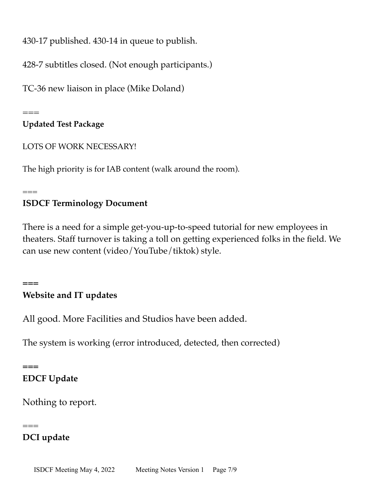430-17 published. 430-14 in queue to publish.

428-7 subtitles closed. (Not enough participants.)

TC-36 new liaison in place (Mike Doland)

 $=$ 

**Updated Test Package**

LOTS OF WORK NECESSARY!

The high priority is for IAB content (walk around the room).

 $=$  $=$  $=$ 

**===**

**===**

 $=$  $=$ 

## **ISDCF Terminology Document**

There is a need for a simple get-you-up-to-speed tutorial for new employees in theaters. Staff turnover is taking a toll on getting experienced folks in the field. We can use new content (video/YouTube/tiktok) style.

# **Website and IT updates**

All good. More Facilities and Studios have been added.

The system is working (error introduced, detected, then corrected)

# **EDCF Update**

Nothing to report.

## **DCI update**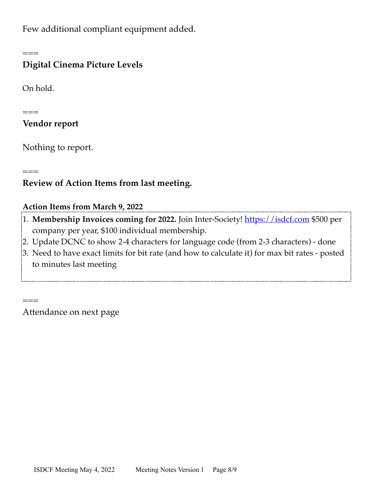Few additional compliant equipment added.

===

#### **Digital Cinema Picture Levels**

On hold.

===

===

===

#### **Vendor report**

Nothing to report.

### **Review of Action Items from last meeting.**

#### **Action Items from March 9, 2022**

- <sup>2</sup>1. Membership Invoices coming for 2022. Join Inter-Society!<https://isdcf.com>\$500 per company per year, \$100 individual membership.
- 2. Update DCNC to show 2-4 characters for language code (from 2-3 characters) done
- 3. Need to have exact limits for bit rate (and how to calculate it) for max bit rates posted to minutes last meeting

Attendance on next page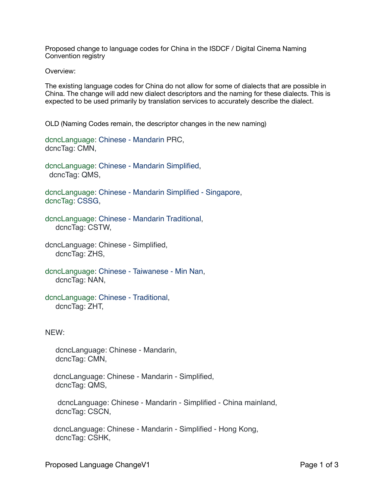Proposed change to language codes for China in the ISDCF / Digital Cinema Naming Convention registry

Overview:

The existing language codes for China do not allow for some of dialects that are possible in China. The change will add new dialect descriptors and the naming for these dialects. This is expected to be used primarily by translation services to accurately describe the dialect.

OLD (Naming Codes remain, the descriptor changes in the new naming)

dcncLanguage: Chinese - Mandarin PRC, dcncTag: CMN,

dcncLanguage: Chinese - Mandarin Simplified, dcncTag: QMS,

dcncLanguage: Chinese - Mandarin Simplified - Singapore, dcncTag: CSSG,

dcncLanguage: Chinese - Mandarin Traditional, dcncTag: CSTW,

dcncLanguage: Chinese - Simplified, dcncTag: ZHS,

dcncLanguage: Chinese - Taiwanese - Min Nan, dcncTag: NAN,

dcncLanguage: Chinese - Traditional, dcncTag: ZHT,

#### NEW:

 dcncLanguage: Chinese - Mandarin, dcncTag: CMN,

 dcncLanguage: Chinese - Mandarin - Simplified, dcncTag: QMS,

 dcncLanguage: Chinese - Mandarin - Simplified - China mainland, dcncTag: CSCN,

 dcncLanguage: Chinese - Mandarin - Simplified - Hong Kong, dcncTag: CSHK,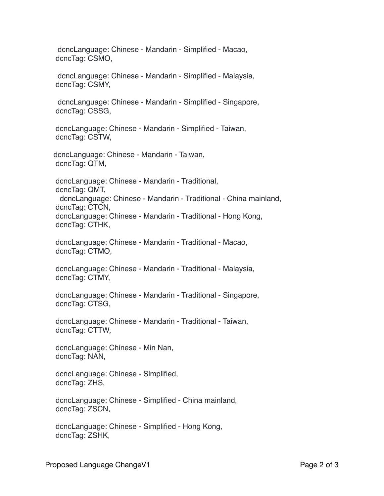dcncLanguage: Chinese - Mandarin - Simplified - Macao, dcncTag: CSMO,

 dcncLanguage: Chinese - Mandarin - Simplified - Malaysia, dcncTag: CSMY,

 dcncLanguage: Chinese - Mandarin - Simplified - Singapore, dcncTag: CSSG,

 dcncLanguage: Chinese - Mandarin - Simplified - Taiwan, dcncTag: CSTW,

 dcncLanguage: Chinese - Mandarin - Taiwan, dcncTag: QTM,

 dcncLanguage: Chinese - Mandarin - Traditional, dcncTag: QMT, dcncLanguage: Chinese - Mandarin - Traditional - China mainland, dcncTag: CTCN, dcncLanguage: Chinese - Mandarin - Traditional - Hong Kong, dcncTag: CTHK,

 dcncLanguage: Chinese - Mandarin - Traditional - Macao, dcncTag: CTMO,

 dcncLanguage: Chinese - Mandarin - Traditional - Malaysia, dcncTag: CTMY,

 dcncLanguage: Chinese - Mandarin - Traditional - Singapore, dcncTag: CTSG,

 dcncLanguage: Chinese - Mandarin - Traditional - Taiwan, dcncTag: CTTW,

 dcncLanguage: Chinese - Min Nan, dcncTag: NAN,

 dcncLanguage: Chinese - Simplified, dcncTag: ZHS,

 dcncLanguage: Chinese - Simplified - China mainland, dcncTag: ZSCN,

 dcncLanguage: Chinese - Simplified - Hong Kong, dcncTag: ZSHK,